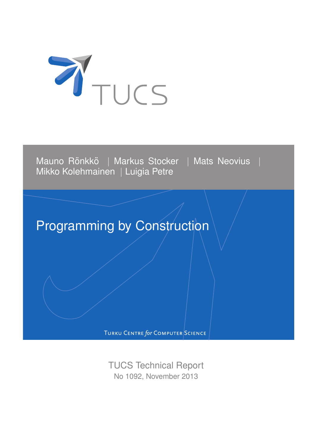

Mauno Rönkkö | Markus Stocker | Mats Neovius | Mikko Kolehmainen | Luigia Petre

# Programming by Construction

TURKU CENTRE for COMPUTER SCIENCE

TUCS Technical Report No 1092, November 2013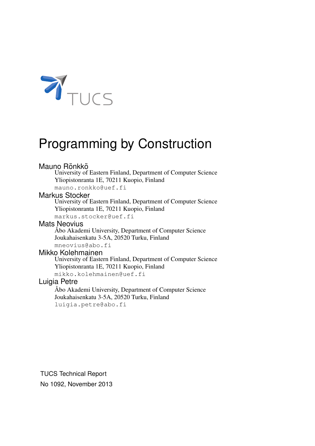

# Programming by Construction

#### Mauno Rönkkö

University of Eastern Finland, Department of Computer Science Yliopistonranta 1E, 70211 Kuopio, Finland

mauno.ronkko@uef.fi

### Markus Stocker

University of Eastern Finland, Department of Computer Science Yliopistonranta 1E, 70211 Kuopio, Finland

markus.stocker@uef.fi

#### Mats Neovius

Abo Akademi University, Department of Computer Science Joukahaisenkatu 3-5A, 20520 Turku, Finland mneovius@abo.fi

#### Mikko Kolehmainen

University of Eastern Finland, Department of Computer Science Yliopistonranta 1E, 70211 Kuopio, Finland mikko.kolehmainen@uef.fi

## Luigia Petre

Abo Akademi University, Department of Computer Science Joukahaisenkatu 3-5A, 20520 Turku, Finland luigia.petre@abo.fi

TUCS Technical Report No 1092, November 2013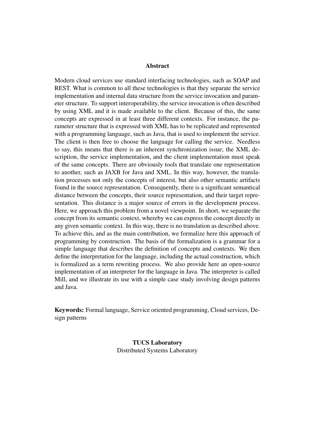#### Abstract

Modern cloud services use standard interfacing technologies, such as SOAP and REST. What is common to all these technologies is that they separate the service implementation and internal data structure from the service invocation and parameter structure. To support interoperability, the service invocation is often described by using XML and it is made available to the client. Because of this, the same concepts are expressed in at least three different contexts. For instance, the parameter structure that is expressed with XML has to be replicated and represented with a programming language, such as Java, that is used to implement the service. The client is then free to choose the language for calling the service. Needless to say, this means that there is an inherent synchronization issue; the XML description, the service implementation, and the client implementation must speak of the same concepts. There are obviously tools that translate one representation to another, such as JAXB for Java and XML. In this way, however, the translation processes not only the concepts of interest, but also other semantic artifacts found in the source representation. Consequently, there is a significant semantical distance between the concepts, their source representation, and their target representation. This distance is a major source of errors in the development process. Here, we approach this problem from a novel viewpoint. In short, we separate the concept from its semantic context, whereby we can express the concept directly in any given semantic context. In this way, there is no translation as described above. To achieve this, and as the main contribution, we formalize here this approach of programming by construction. The basis of the formalization is a grammar for a simple language that describes the definition of concepts and contexts. We then define the interpretation for the language, including the actual construction, which is formalized as a term rewriting process. We also provide here an open-source implementation of an interpreter for the language in Java. The interpreter is called Mill, and we illustrate its use with a simple case study involving design patterns and Java.

Keywords: Formal language, Service oriented programming, Cloud services, Design patterns

> TUCS Laboratory Distributed Systems Laboratory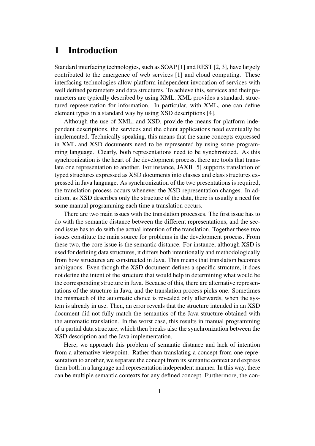## 1 Introduction

Standard interfacing technologies, such as SOAP [1] and REST [2, 3], have largely contributed to the emergence of web services [1] and cloud computing. These interfacing technologies allow platform independent invocation of services with well defined parameters and data structures. To achieve this, services and their parameters are typically described by using XML. XML provides a standard, structured representation for information. In particular, with XML, one can define element types in a standard way by using XSD descriptions [4].

Although the use of XML, and XSD, provide the means for platform independent descriptions, the services and the client applications need eventually be implemented. Technically speaking, this means that the same concepts expressed in XML and XSD documents need to be represented by using some programming language. Clearly, both representations need to be synchronized. As this synchronization is the heart of the development process, there are tools that translate one representation to another. For instance, JAXB [5] supports translation of typed structures expressed as XSD documents into classes and class structures expressed in Java language. As synchronization of the two presentations is required, the translation process occurs whenever the XSD representation changes. In addition, as XSD describes only the structure of the data, there is usually a need for some manual programming each time a translation occurs.

There are two main issues with the translation processes. The first issue has to do with the semantic distance between the different representations, and the second issue has to do with the actual intention of the translation. Together these two issues constitute the main source for problems in the development process. From these two, the core issue is the semantic distance. For instance, although XSD is used for defining data structures, it differs both intentionally and methodologically from how structures are constructed in Java. This means that translation becomes ambiguous. Even though the XSD document defines a specific structure, it does not define the intent of the structure that would help in determining what would be the corresponding structure in Java. Because of this, there are alternative representations of the structure in Java, and the translation process picks one. Sometimes the mismatch of the automatic choice is revealed only afterwards, when the system is already in use. Then, an error reveals that the structure intended in an XSD document did not fully match the semantics of the Java structure obtained with the automatic translation. In the worst case, this results in manual programming of a partial data structure, which then breaks also the synchronization between the XSD description and the Java implementation.

Here, we approach this problem of semantic distance and lack of intention from a alternative viewpoint. Rather than translating a concept from one representation to another, we separate the concept from its semantic context and express them both in a language and representation independent manner. In this way, there can be multiple semantic contexts for any defined concept. Furthermore, the con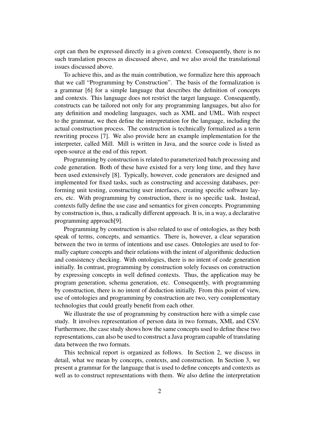cept can then be expressed directly in a given context. Consequently, there is no such translation process as discussed above, and we also avoid the translational issues discussed above.

To achieve this, and as the main contribution, we formalize here this approach that we call "Programming by Construction". The basis of the formalization is a grammar [6] for a simple language that describes the definition of concepts and contexts. This language does not restrict the target language. Consequently, constructs can be tailored not only for any programming languages, but also for any definition and modeling languages, such as XML and UML. With respect to the grammar, we then define the interpretation for the language, including the actual construction process. The construction is technically formalized as a term rewriting process [7]. We also provide here an example implementation for the interpreter, called Mill. Mill is written in Java, and the source code is listed as open-source at the end of this report.

Programming by construction is related to parameterized batch processing and code generation. Both of these have existed for a very long time, and they have been used extensively [8]. Typically, however, code generators are designed and implemented for fixed tasks, such as constructing and accessing databases, performing unit testing, constructing user interfaces, creating specific software layers, etc. With programming by construction, there is no specific task. Instead, contexts fully define the use case and semantics for given concepts. Programming by construction is, thus, a radically different approach. It is, in a way, a declarative programming approach[9].

Programming by construction is also related to use of ontologies, as they both speak of terms, concepts, and semantics. There is, however, a clear separation between the two in terms of intentions and use cases. Ontologies are used to formally capture concepts and their relations with the intent of algorithmic deduction and consistency checking. With ontologies, there is no intent of code generation initially. In contrast, programming by construction solely focuses on construction by expressing concepts in well defined contexts. Thus, the application may be program generation, schema generation, etc. Consequently, with programming by construction, there is no intent of deduction initially. From this point of view, use of ontologies and programming by construction are two, very complementary technologies that could greatly benefit from each other.

We illustrate the use of programming by construction here with a simple case study. It involves representation of person data in two formats, XML and CSV. Furthermore, the case study shows how the same concepts used to define these two representations, can also be used to construct a Java program capable of translating data between the two formats.

This technical report is organized as follows. In Section 2, we discuss in detail, what we mean by concepts, contexts, and construction. In Section 3, we present a grammar for the language that is used to define concepts and contexts as well as to construct representations with them. We also define the interpretation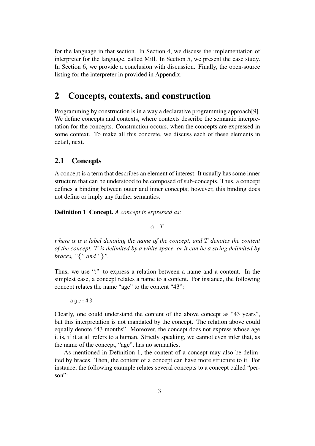for the language in that section. In Section 4, we discuss the implementation of interpreter for the language, called Mill. In Section 5, we present the case study. In Section 6, we provide a conclusion with discussion. Finally, the open-source listing for the interpreter in provided in Appendix.

## 2 Concepts, contexts, and construction

Programming by construction is in a way a declarative programming approach[9]. We define concepts and contexts, where contexts describe the semantic interpretation for the concepts. Construction occurs, when the concepts are expressed in some context. To make all this concrete, we discuss each of these elements in detail, next.

#### 2.1 Concepts

A concept is a term that describes an element of interest. It usually has some inner structure that can be understood to be composed of sub-concepts. Thus, a concept defines a binding between outer and inner concepts; however, this binding does not define or imply any further semantics.

Definition 1 Concept. *A concept is expressed as:*

 $\alpha \cdot T$ 

*where* α *is a label denoting the name of the concept, and* T *denotes the content of the concept.* T *is delimited by a white space, or it can be a string delimited by braces, "*{*" and "*}*".*

Thus, we use ":" to express a relation between a name and a content. In the simplest case, a concept relates a name to a content. For instance, the following concept relates the name "age" to the content "43":

```
age:43
```
Clearly, one could understand the content of the above concept as "43 years", but this interpretation is not mandated by the concept. The relation above could equally denote "43 months". Moreover, the concept does not express whose age it is, if it at all refers to a human. Strictly speaking, we cannot even infer that, as the name of the concept, "age", has no semantics.

As mentioned in Definition 1, the content of a concept may also be delimited by braces. Then, the content of a concept can have more structure to it. For instance, the following example relates several concepts to a concept called "person":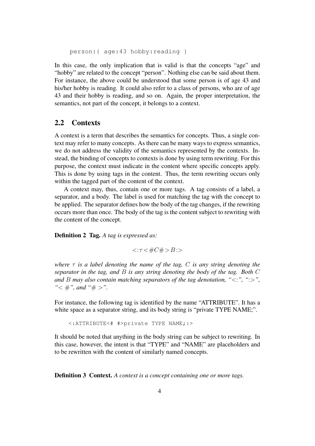person:{ age:43 hobby:reading }

In this case, the only implication that is valid is that the concepts "age" and "hobby" are related to the concept "person". Nothing else can be said about them. For instance, the above could be understood that some person is of age 43 and his/her hobby is reading. It could also refer to a class of persons, who are of age 43 and their hobby is reading, and so on. Again, the proper interpretation, the semantics, not part of the concept, it belongs to a context.

#### 2.2 Contexts

A context is a term that describes the semantics for concepts. Thus, a single context may refer to many concepts. As there can be many ways to express semantics, we do not address the validity of the semantics represented by the contexts. Instead, the binding of concepts to contexts is done by using term rewriting. For this purpose, the context must indicate in the content where specific concepts apply. This is done by using tags in the content. Thus, the term rewriting occurs only within the tagged part of the content of the context.

A context may, thus, contain one or more tags. A tag consists of a label, a separator, and a body. The label is used for matching the tag with the concept to be applied. The separator defines how the body of the tag changes, if the rewriting occurs more than once. The body of the tag is the content subject to rewriting with the content of the concept.

Definition 2 Tag. *A tag is expressed as:*

 $<: \tau < \#C\#> B: >$ 

*where* τ *is a label denoting the name of the tag,* C *is any string denoting the separator in the tag, and* B *is any string denoting the body of the tag. Both* C *and* B *may also contain matching separators of the tag denotation, "*<:*", "*:>*", "*< #*", and "*# >*".*

For instance, the following tag is identified by the name "ATTRIBUTE". It has a white space as a separator string, and its body string is "private TYPE NAME;".

<:ATTRIBUTE<# #>private TYPE NAME;:>

It should be noted that anything in the body string can be subject to rewriting. In this case, however, the intent is that "TYPE" and "NAME" are placeholders and to be rewritten with the content of similarly named concepts.

Definition 3 Context. *A context is a concept containing one or more tags.*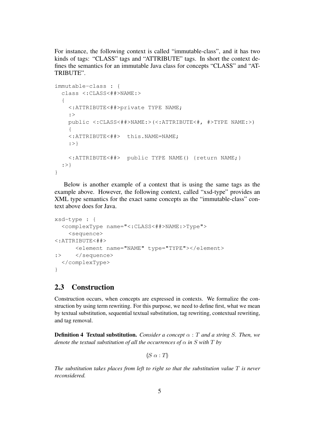For instance, the following context is called "immutable-class", and it has two kinds of tags: "CLASS" tags and "ATTRIBUTE" tags. In short the context defines the semantics for an immutable Java class for concepts "CLASS" and "AT-TRIBUTE".

```
immutable-class : {
  class <:CLASS<##>NAME:>
  {
    <:ATTRIBUTE<##>private TYPE NAME;
    :>
    public <:CLASS<##>NAME:>(<:ATTRIBUTE<#, #>TYPE NAME:>)
    {
    <:ATTRIBUTE<##> this.NAME=NAME;
    :>}
    <:ATTRIBUTE<##> public TYPE NAME() {return NAME;}
  :>}
}
```
Below is another example of a context that is using the same tags as the example above. However, the following context, called "xsd-type" provides an XML type semantics for the exact same concepts as the "immutable-class" context above does for Java.

```
xsd-type : {
  <complexType name="<:CLASS<##>NAME:>Type">
    <sequence>
<:ATTRIBUTE<##>
      <element name="NAME" type="TYPE"></element>
:> </sequence>
  </complexType>
}
```
## 2.3 Construction

Construction occurs, when concepts are expressed in contexts. We formalize the construction by using term rewriting. For this purpose, we need to define first, what we mean by textual substitution, sequential textual substitution, tag rewriting, contextual rewriting, and tag removal.

**Definition 4 Textual substitution.** *Consider a concept*  $\alpha$  : T and a string S. Then, we *denote the textual substitution of all the occurrences of*  $\alpha$  *in* S with T by

 $\mathbb{I}S \alpha$  : Th

*The substitution takes places from left to right so that the substitution value* T *is never reconsidered.*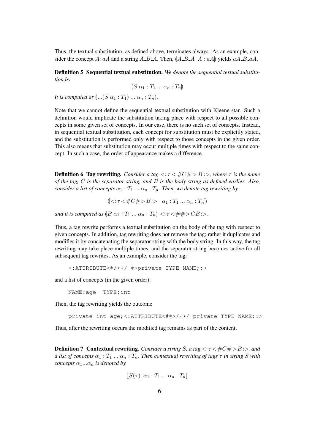Thus, the textual substitution, as defined above, terminates always. As an example, consider the concept  $A: aA$  and a string  $A\_B\_A$ . Then,  $(A\_B\_A \ A : aA)$  yields  $aA\_B\_aA$ .

Definition 5 Sequential textual substitution. *We denote the sequential textual substitution by*

$$
(S \alpha_1 : T_1 \dots \alpha_n : T_n)
$$

*It is computed as*  $\left(\ldots\left(\vert S \alpha_1 : T_1 \right)\ldots \alpha_n : T_n\right)$ .

Note that we cannot define the sequential textual substitution with Kleene star. Such a definition would implicate the substitution taking place with respect to all possible concepts in some given set of concepts. In our case, there is no such set of concepts. Instead, in sequential textual substitution, each concept for substitution must be explicitly stated, and the substitution is performed only with respect to those concepts in the given order. This also means that substitution may occur multiple times with respect to the same concept. In such a case, the order of appearance makes a difference.

**Definition 6 Tag rewriting.** *Consider a tag*  $\lt: \tau \lt \#C \# \gt B \gt \gt$ *, where*  $\tau$  *is the name of the tag,* C *is the separator string, and* B *is the body string as defined earlier. Also, consider a list of concepts*  $\alpha_1 : T_1 \dots \alpha_n : T_n$ . Then, we denote tag rewriting by

$$
\llbracket \langle \cdot : \tau \langle \#C \# \rangle B \rangle > \alpha_1 : T_1 \dots \alpha_n : T_n \rrbracket
$$

*and it is computed as*  $\langle B \alpha_1 : T_1 \dots \alpha_n : T_n \rangle \langle T \langle E \rangle + \langle T \rangle \langle E \rangle$ 

Thus, a tag rewrite performs a textual substitution on the body of the tag with respect to given concepts. In addition, tag rewriting does not remove the tag; rather it duplicates and modifies it by concatenating the separator string with the body string. In this way, the tag rewriting may take place multiple times, and the separator string becomes active for all subsequent tag rewrites. As an example, consider the tag:

```
<:ATTRIBUTE<#/**/ #>private TYPE NAME;:>
```
and a list of concepts (in the given order):

NAME:age TYPE:int

Then, the tag rewriting yields the outcome

private int age;<:ATTRIBUTE<##>/\*\*/ private TYPE NAME;:>

Thus, after the rewriting occurs the modified tag remains as part of the content.

**Definition 7 Contextual rewriting.** *Consider a string* S, a tag  $\lt$ :  $\tau$   $\lt$   $\neq$   $C \neq$   $>$   $B$ : $>$ , and *a list of concepts*  $\alpha_1 : T_1 \dots \alpha_n : T_n$ . Then contextual rewriting of tags  $\tau$  in string S with *concepts*  $\alpha_1...\alpha_n$  *is denoted by* 

$$
[\![S(\tau)\ \alpha_1:T_1\ldots\alpha_n:T_n]\!]
$$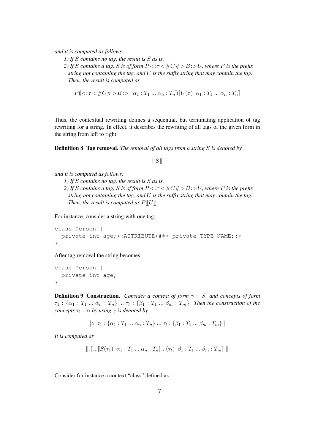*and it is computed as follows:*

*1) If* S *contains no tag, the result is* S *as is.*

*2)* If *S* contains a tag, *S* is of form  $P \le \tau \le \#C \# > B$  : > U, where *P* is the prefix *string not containing the tag, and* U *is the suffix string that may contain the tag. Then, the result is computed as*

$$
P(\langle \cdot; \tau \langle \#C\# \rangle B \rangle > \alpha_1 : T_1 \dots \alpha_n : T_n) \llbracket U(\tau) \ \alpha_1 : T_1 \dots \alpha_n : T_n \rrbracket
$$

Thus, the contextual rewriting defines a sequential, but terminating application of tag rewriting for a string. In effect, it describes the rewriting of all tags of the given form in the string from left to right.

Definition 8 Tag removal. *The removal of all tags from a string* S *is denoted by*

 $\|S\|$ 

```
and it is computed as follows:
```
*1) If* S *contains no tag, the result is* S *as is.*

*2)* If *S* contains a tag, *S* is of form  $P \le \tau \le \#C \# > B$  :> U, where P is the prefix *string not containing the tag, and* U *is the suffix string that may contain the tag. Then, the result is computed as*  $P||U||$ *.* 

For instance, consider a string with one tag:

```
class Person {
 private int age;<:ATTRIBUTE<##> private TYPE NAME;:>
}
```
After tag removal the string becomes:

```
class Person {
 private int age;
}
```
Definition 9 Construction. *Consider a context of form* γ : S*, and concepts of form*  $\tau_1:\{\alpha_1:T_1\ ...\ \alpha_n:T_n\}...\ \tau_t:\{\beta_1:T_1\ ...\ \beta_m:T_m\}$ . Then the construction of the *concepts*  $\tau_1...\tau_t$  *by using*  $\gamma$  *is denoted by* 

 $[\gamma \ \tau_1 : \{\alpha_1 : T_1 \dots \alpha_n : T_n\} \dots \tau_t : \{\beta_1 : T_1 \dots \beta_m : T_m\}]$ 

*It is computed as*

$$
\mathcal{L}[\ldots[S(\tau_1) \ \alpha_1 : T_1 \ldots \alpha_n : T_n] \ldots (\tau_t) \ \beta_1 : T_1 \ldots \beta_m : T_m \mathcal{L}]\mathcal{L}
$$

Consider for instance a context "class" defined as: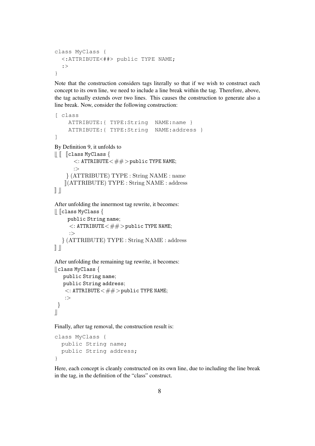```
class MyClass {
  <:ATTRIBUTE<##> public TYPE NAME;
  :>
}
```
Note that the construction considers tags literally so that if we wish to construct each concept to its own line, we need to include a line break within the tag. Therefore, above, the tag actually extends over two lines. This causes the construction to generate also a line break. Now, consider the following construction:

```
[ class
     ATTRIBUTE:{ TYPE:String NAME:name }
     ATTRIBUTE:{ TYPE:String NAME:address }
]
By Definition 9, it unfolds to
T J Jclass MyClass {
       \lt: ATTRIBUTE\lt\# \# > public TYPE NAME;
       :>
    } (ATTRIBUTE) TYPE : String NAME : name
    \Vert(ATTRIBUTE) TYPE : String NAME : address
\|After unfolding the innermost tag rewrite, it becomes:
\parallel \parallel Class MyClass {
     public String name;
      \lt: ATTRIBUTE\lt\# \# > public TYPE NAME;
     :>
   } (ATTRIBUTE) TYPE : String NAME : address
\mathbb{I}After unfolding the remaining tag rewrite, it becomes:
\parallel class MyClass {
   public String name;
   public String address;
    \lt: ATTRIBUTE\lt \# \# > public TYPE NAME;
    :>
```
Finally, after tag removal, the construction result is:

```
class MyClass {
 public String name;
 public String address;
}
```
}  $\parallel$ 

Here, each concept is cleanly constructed on its own line, due to including the line break in the tag, in the definition of the "class" construct.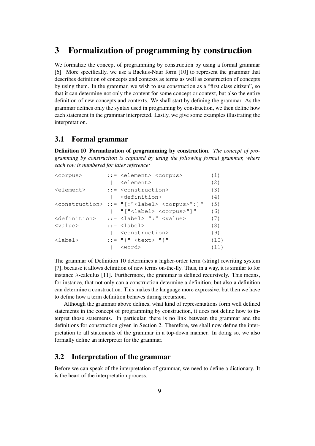## 3 Formalization of programming by construction

We formalize the concept of programming by construction by using a formal grammar [6]. More specifically, we use a Backus-Naur form [10] to represent the grammar that describes definition of concepts and contexts as terms as well as construction of concepts by using them. In the grammar, we wish to use construction as a "first class citizen", so that it can determine not only the content for some concept or context, but also the entire definition of new concepts and contexts. We shall start by defining the grammar. As the grammar defines only the syntax used in programing by construction, we then define how each statement in the grammar interpreted. Lastly, we give some examples illustrating the interpretation.

#### 3.1 Formal grammar

Definition 10 Formalization of programming by construction. *The concept of programming by construction is captured by using the following formal grammar, where each row is numbered for later reference:*

| <corpus></corpus>         | ::= <element> <corpus></corpus></element>                                   | (1)  |
|---------------------------|-----------------------------------------------------------------------------|------|
|                           | <element></element>                                                         | (2)  |
| <element></element>       | $::=$ <construction></construction>                                         | (3)  |
|                           | <definition></definition>                                                   | (4)  |
|                           | <construction> ::= "[:"<label> <corpus>":]"</corpus></label></construction> | (5)  |
|                           | $ $ "[" <label> <corpus>"]"</corpus></label>                                | (6)  |
| <definition></definition> | $::=$ <label> <math>" : "</math> <value></value></label>                    | (7)  |
| <value></value>           | $::=$ $<$ label>                                                            | (8)  |
|                           | <construction></construction>                                               | (9)  |
| <label></label>           | $::=""\{ " < t \in x t > " }"\$                                             | (10) |
|                           | <word></word>                                                               | (11) |
|                           |                                                                             |      |

The grammar of Definition 10 determines a higher-order term (string) rewriting system [7], because it allows definition of new terms on-the-fly. Thus, in a way, it is similar to for instance  $\lambda$ -calculus [11]. Furthermore, the grammar is defined recursively. This means, for instance, that not only can a construction determine a definition, but also a definition can determine a construction. This makes the language more expressive, but then we have to define how a term definition behaves during recursion.

Although the grammar above defines, what kind of representations form well defined statements in the concept of programming by construction, it does not define how to interpret those statements. In particular, there is no link between the grammar and the definitions for construction given in Section 2. Therefore, we shall now define the interpretation to all statements of the grammar in a top-down manner. In doing so, we also formally define an interpreter for the grammar.

#### 3.2 Interpretation of the grammar

Before we can speak of the interpretation of grammar, we need to define a dictionary. It is the heart of the interpretation process.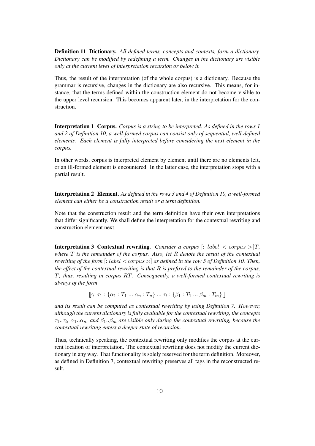Definition 11 Dictionary. *All defined terms, concepts and contexts, form a dictionary. Dictionary can be modified by redefining a term. Changes in the dictionary are visible only at the current level of interpretation recursion or below it.*

Thus, the result of the interpretation (of the whole corpus) is a dictionary. Because the grammar is recursive, changes in the dictionary are also recursive. This means, for instance, that the terms defined within the construction element do not become visible to the upper level recursion. This becomes apparent later, in the interpretation for the construction.

Interpretation 1 Corpus. *Corpus is a string to be interpreted. As defined in the rows 1 and 2 of Definition 10, a well-formed corpus can consist only of sequential, well-defined elements. Each element is fully interpreted before considering the next element in the corpus.*

In other words, corpus is interpreted element by element until there are no elements left, or an ill-formed element is encountered. In the latter case, the interpretation stops with a partial result.

Interpretation 2 Element. *As defined in the rows 3 and 4 of Definition 10, a well-formed element can either be a construction result or a term definition.*

Note that the construction result and the term definition have their own interpretations that differ significantly. We shall define the interpretation for the contextual rewriting and construction element next.

**Interpretation 3 Contextual rewriting.** *Consider a corpus*  $\left| \cdot \right|$  *label*  $\lt$  *corpus*  $\gt$   $\mid$ *T*, *where* T *is the remainder of the corpus. Also, let* R *denote the result of the contextual rewriting of the form* [: label < corpus>:] *as defined in the row 5 of Definition 10. Then, the effect of the contextual rewriting is that* R *is prefixed to the remainder of the corpus,* T*; thus, resulting in corpus* RT*. Consequently, a well-formed contextual rewriting is always of the form*

 $[\![\gamma \ \tau_1 : \{\alpha_1 : T_1 \dots \alpha_n : T_n\} \dots \tau_t : \{\beta_1 : T_1 \dots \beta_m : T_m\} \!]$ 

*and its result can be computed as contextual rewriting by using Definition 7. However, although the current dictionary is fully available for the contextual rewriting, the concepts*  $\tau_1..\tau_t$ ,  $\alpha_1..\alpha_n$ , and  $\beta_1..\beta_m$  are visible only during the contextual rewriting, because the *contextual rewriting enters a deeper state of recursion.*

Thus, technically speaking, the contextual rewriting only modifies the corpus at the current location of interpretation. The contextual rewriting does not modify the current dictionary in any way. That functionality is solely reserved for the term definition. Moreover, as defined in Definition 7, contextual rewriting preserves all tags in the reconstructed result.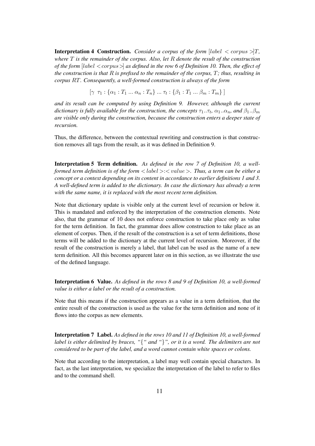**Interpretation 4 Construction.** *Consider a corpus of the form* [label  $\langle$  corpus  $\rangle$ ], *where* T *is the remainder of the corpus. Also, let* R *denote the result of the construction of the form* [label < corpus>] *as defined in the row 6 of Definition 10. Then, the effect of the construction is that* R *is prefixed to the remainder of the corpus,* T*; thus, resulting in corpus* RT*. Consequently, a well-formed construction is always of the form*

 $[\gamma \ \tau_1 : \{\alpha_1 : T_1 \dots \alpha_n : T_n\} \dots \tau_t : \{\beta_1 : T_1 \dots \beta_m : T_m\}]$ 

*and its result can be computed by using Definition 9. However, although the current dictionary is fully available for the construction, the concepts*  $\tau_1..\tau_t$ ,  $\alpha_1..\alpha_n$ , and  $\beta_1..\beta_m$ *are visible only during the construction, because the construction enters a deeper state of recursion.*

Thus, the difference, between the contextual rewriting and construction is that construction removes all tags from the result, as it was defined in Definition 9.

Interpretation 5 Term definition. *As defined in the row 7 of Definition 10, a wellformed term definition is of the form* < label >:< value >*. Thus, a term can be either a concept or a context depending on its content in accordance to earlier definitions 1 and 3. A well-defined term is added to the dictionary. In case the dictionary has already a term with the same name, it is replaced with the most recent term definition.*

Note that dictionary update is visible only at the current level of recursion or below it. This is mandated and enforced by the interpretation of the construction elements. Note also, that the grammar of 10 does not enforce construction to take place only as value for the term definition. In fact, the grammar does allow construction to take place as an element of corpus. Then, if the result of the construction is a set of term definitions, those terms will be added to the dictionary at the current level of recursion. Moreover, if the result of the construction is merely a label, that label can be used as the name of a new term definition. All this becomes apparent later on in this section, as we illustrate the use of the defined language.

Interpretation 6 Value. *As defined in the rows 8 and 9 of Definition 10, a well-formed value is either a label or the result of a construction.*

Note that this means if the construction appears as a value in a term definition, that the entire result of the construction is used as the value for the term definition and none of it flows into the corpus as new elements.

Interpretation 7 Label. *As defined in the rows 10 and 11 of Definition 10, a well-formed label is either delimited by braces, "*{*" and "*}*", or it is a word. The delimiters are not considered to be part of the label, and a word cannot contain white spaces or colons.*

Note that according to the interpretation, a label may well contain special characters. In fact, as the last interpretation, we specialize the interpretation of the label to refer to files and to the command shell.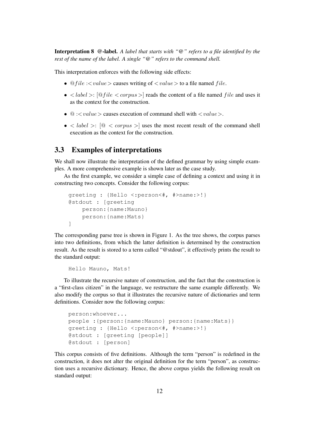Interpretation 8 @-label. *A label that starts with "@" refers to a file identified by the rest of the name of the label. A single "@" refers to the command shell.*

This interpretation enforces with the following side effects:

- $\mathcal{Q}$  file :  $\langle value \rangle$  causes writing of  $\langle value \rangle$  to a file named file.
- $\lt label$  : [@file  $\lt$  corpus  $>$ ] reads the content of a file named file and uses it as the context for the construction.
- $@:$  causes execution of command shell with  $< value>$ .
- $\bullet$  < *label* >:  $\left[ \circledcirc$  < *corpus* > x uses the most recent result of the command shell execution as the context for the construction.

#### 3.3 Examples of interpretations

We shall now illustrate the interpretation of the defined grammar by using simple examples. A more comprehensive example is shown later as the case study.

As the first example, we consider a simple case of defining a context and using it in constructing two concepts. Consider the following corpus:

```
greeting : {Hello <:person<#, #>name:>!}
@stdout : [greeting
    person:{name:Mauno}
    person:{name:Mats}
]
```
The corresponding parse tree is shown in Figure 1. As the tree shows, the corpus parses into two definitions, from which the latter definition is determined by the construction result. As the result is stored to a term called "@stdout", it effectively prints the result to the standard output:

Hello Mauno, Mats!

To illustrate the recursive nature of construction, and the fact that the construction is a "first-class citizen" in the language, we restructure the same example differently. We also modify the corpus so that it illustrates the recursive nature of dictionaries and term definitions. Consider now the following corpus:

```
person:whoever...
people :{person:{name:Mauno} person:{name:Mats}}
greeting : {Hello <:person<#, #>name:>!}
@stdout : [greeting [people]]
@stdout : [person]
```
This corpus consists of five definitions. Although the term "person" is redefined in the construction, it does not alter the original definition for the term "person", as construction uses a recursive dictionary. Hence, the above corpus yields the following result on standard output: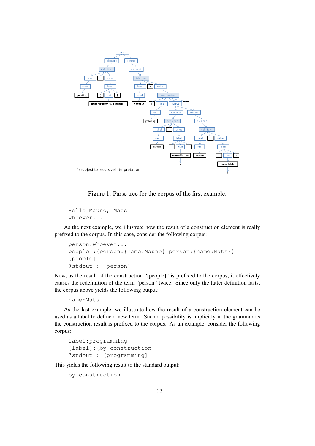

Figure 1: Parse tree for the corpus of the first example.

```
Hello Mauno, Mats!
whoever...
```
As the next example, we illustrate how the result of a construction element is really prefixed to the corpus. In this case, consider the following corpus:

```
person:whoever...
people :{person:{name:Mauno} person:{name:Mats}}
[people]
@stdout : [person]
```
Now, as the result of the construction "[people]" is prefixed to the corpus, it effectively causes the redefinition of the term "person" twice. Since only the latter definition lasts, the corpus above yields the following output:

```
name:Mats
```
As the last example, we illustrate how the result of a construction element can be used as a label to define a new term. Such a possibility is implicitly in the grammar as the construction result is prefixed to the corpus. As an example, consider the following corpus:

```
label:programming
[label]: {by construction}
@stdout : [programming]
```
This yields the following result to the standard output:

```
by construction
```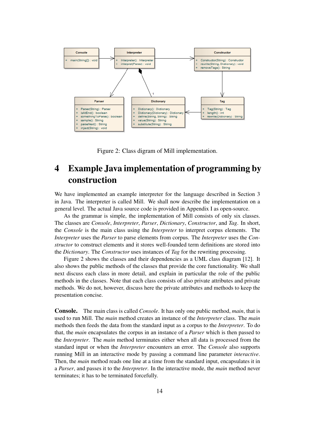

Figure 2: Class digram of Mill implementation.

# 4 Example Java implementation of programming by construction

We have implemented an example interpreter for the language described in Section 3 in Java. The interpreter is called Mill. We shall now describe the implementation on a general level. The actual Java source code is provided in Appendix I as open-source.

As the grammar is simple, the implementation of Mill consists of only six classes. The classes are *Console*, *Interpreter*, *Parser*, *Dictionary*, *Constructor*, and *Tag*. In short, the *Console* is the main class using the *Interpreter* to interpret corpus elements. The *Interpreter* uses the *Parser* to parse elements from corpus. The *Interpreter* uses the *Constructor* to construct elements and it stores well-founded term definitions are stored into the *Dictionary*. The *Constructor* uses instances of *Tag* for the rewriting processing.

Figure 2 shows the classes and their dependencies as a UML class diagram [12]. It also shows the public methods of the classes that provide the core functionality. We shall next discuss each class in more detail, and explain in particular the role of the public methods in the classes. Note that each class consists of also private attributes and private methods. We do not, however, discuss here the private attributes and methods to keep the presentation concise.

Console. The main class is called *Console*. It has only one public method, *main*, that is used to run Mill. The *main* method creates an instance of the *Interpreter* class. The *main* methods then feeds the data from the standard input as a corpus to the *Interpreter*. To do that, the *main* encapsulates the corpus in an instance of a *Parser* which is then passed to the *Interpreter*. The *main* method terminates either when all data is processed from the standard input or when the *Interpreter* encounters an error. The *Console* also supports running Mill in an interactive mode by passing a command line parameter *interactive*. Then, the *main* method reads one line at a time from the standard input, encapsulates it in a *Parser*, and passes it to the *Interpreter*. In the interactive mode, the *main* method never terminates; it has to be terminated forcefully.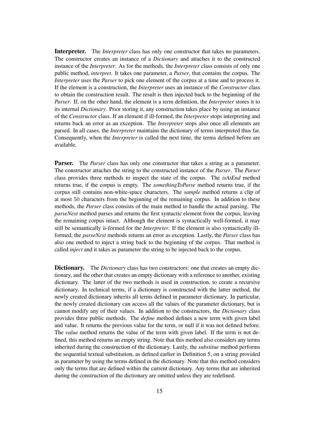Interpreter. The *Interpreter* class has only one constructor that takes no parameters. The constructor creates an instance of a *Dictionary* and attaches it to the constructed instance of the *Interpreter*. As for the methods, the *Interpreter* class consists of only one public method, *interpret*. It takes one parameter, a *Parser*, that contains the corpus. The *Interpreter* uses the *Parser* to pick one element of the corpus at a time and to process it. If the element is a construction, the *Interpreter* uses an instance of the *Constructor* class to obtain the construction result. The result is then injected back to the beginning of the *Parser*. If, on the other hand, the element is a term definition, the *Interpreter* stores it to its internal *Dictionary*. Prior storing it, any construction takes place by using an instance of the *Constructor* class. If an element if ill-formed, the *Interpreter* stops interpreting and returns back an error as an exception. The *Interpreter* stops also once all elements are parsed. In all cases, the *Interpreter* maintains the dictionary of terms interpreted thus far. Consequently, when the *Interpreter* is called the next time, the terms defined before are available.

**Parser.** The *Parser* class has only one constructor that takes a string as a parameter. The constructor attaches the string to the constructed instance of the *Parser*. The *Parser* class provides three methods to inspect the state of the corpus. The *isAtEnd* method returns true, if the corpus is empty. The *somethingToParse* method returns true, if the corpus still contains non-white-space characters. The *sample* method returns a clip of at most 50 characters from the beginning of the remaining corpus. In addition to these methods, the *Parser* class consists of the main method to handle the actual parsing. The *parseNext* method parses and returns the first syntactic element from the corpus, leaving the remaining corpus intact. Although the element is syntactically well-formed, it may still be semantically ii-formed for the *Interpreter*. If the element is also syntactically illformed, the *parseNext* methods returns an error as exception. Lastly, the *Parser* class has also one method to inject a string back to the beginning of the corpus. That method is called *inject* and it takes as parameter the string to be injected back to the corpus.

**Dictionary.** The *Dictionary* class has two constructors: one that creates an empty dictionary, and the other that creates an empty dictionary with a reference to another, existing dictionary. The latter of the two methods is used in construction, to cerate a recursive dictionary. In technical terms, if a dictionary is constructed with the latter method, the newly created dictionary inherits all terms defined in parameter dictionary. In particular, the newly created dictionary can access all the values of the parameter dictionary, but is cannot modify any of their values. In addition to the constructors, the *Dictionary* class provides three public methods. The *define* method defines a new term with given label and value. It returns the previous value for the term, or null if it was not defined before. The *value* method returns the value of the term with given label. If the term is not defined, this method returns an empty string. Note that this method also considers any terms inherited during the construction of the dictionary. Lastly, the *substitue* method performs the sequential textual substitution, as defined earlier in Definition 5, on a string provided as parameter by using the terms defined in the dictionary. Note that this method considers only the terms that are defined within the current dictionary. Any terms that are inherited during the construction of the dictionary are omitted unless they are redefined.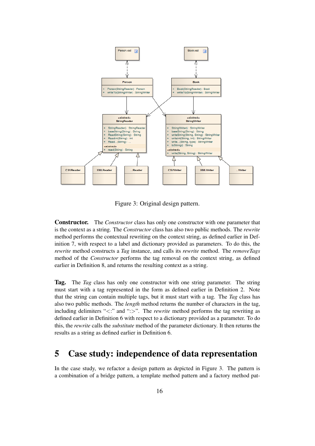

Figure 3: Original design pattern.

Constructor. The *Constructor* class has only one constructor with one parameter that is the context as a string. The *Constructor* class has also two public methods. The *rewrite* method performs the contextual rewriting on the context string, as defined earlier in Definition 7, with respect to a label and dictionary provided as parameters. To do this, the *rewrite* method constructs a *Tag* instance, and calls its *rewrite* method. The *removeTags* method of the *Constructor* performs the tag removal on the context string, as defined earlier in Definition 8, and returns the resulting context as a string.

Tag. The *Tag* class has only one constructor with one string parameter. The string must start with a tag represented in the form as defined earlier in Definition 2. Note that the string can contain multiple tags, but it must start with a tag. The *Tag* class has also two public methods. The *length* method returns the number of characters in the tag, including delimiters "<:" and ":>". The *rewrite* method performs the tag rewriting as defined earlier in Definition 6 with respect to a dictionary provided as a parameter. To do this, the *rewrite* calls the *substitute* method of the parameter dictionary. It then returns the results as a string as defined earlier in Definition 6.

## 5 Case study: independence of data representation

In the case study, we refactor a design pattern as depicted in Figure 3. The pattern is a combination of a bridge pattern, a template method pattern and a factory method pat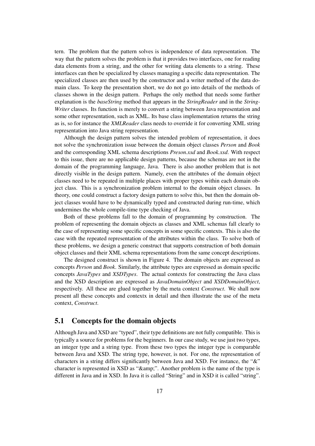tern. The problem that the pattern solves is independence of data representation. The way that the pattern solves the problem is that it provides two interfaces, one for reading data elements from a string, and the other for writing data elements to a string. These interfaces can then be specialized by classes managing a specific data representation. The specialized classes are then used by the constructor and a writer method of the data domain class. To keep the presentation short, we do not go into details of the methods of classes shown in the design pattern. Perhaps the only method that needs some further explanation is the *baseString* method that appears in the *StringReader* and in the *String-Writer* classes. Its function is merely to convert a string between Java representation and some other representation, such as XML. Its base class implementation returns the string as is, so for instance the *XMLReader* class needs to override it for converting XML string representation into Java string representation.

Although the design pattern solves the intended problem of representation, it does not solve the synchronization issue between the domain object classes *Person* and *Book* and the corresponding XML schema descriptions *Preson.xsd* and *Book.xsd*. With respect to this issue, there are no applicable design patterns, because the schemas are not in the domain of the programming language, Java. There is also another problem that is not directly visible in the design pattern. Namely, even the attributes of the domain object classes need to be repeated in multiple places with proper types within each domain object class. This is a synchronization problem internal to the domain object classes. In theory, one could construct a factory design pattern to solve this, but then the domain object classes would have to be dynamically typed and constructed during run-time, which undermines the whole compile-time type checking of Java.

Both of these problems fall to the domain of programming by construction. The problem of representing the domain objects as classes and XML schemas fall clearly to the case of representing some specific concepts in some specific contexts. This is also the case with the repeated representation of the attributes within the class. To solve both of these problems, we design a generic construct that supports construction of both domain object classes and their XML schema representations from the same concept descriptions.

The designed construct is shown in Figure 4. The domain objects are expressed as concepts *Person* and *Book*. Similarly, the attribute types are expressed as domain specific concepts *JavaTypes* and *XSDTypes*. The actual contexts for constructing the Java class and the XSD description are expressed as *JavaDomainObject* and *XSDDomainObject*, respectively. All these are glued together by the meta context *Construct*. We shall now present all these concepts and contextx in detail and then illustrate the use of the meta context, *Construct*.

#### 5.1 Concepts for the domain objects

Although Java and XSD are "typed", their type definitions are not fully compatible. This is typically a source for problems for the beginners. In our case study, we use just two types, an integer type and a string type. From these two types the integer type is comparable between Java and XSD. The string type, however, is not. For one, the representation of characters in a string differs significantly between Java and XSD. For instance, the "&" character is represented in XSD as "&". Another problem is the name of the type is different in Java and in XSD. In Java it is called "String" and in XSD it is called "string".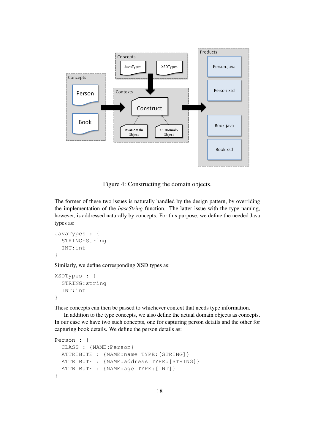

Figure 4: Constructing the domain objects.

The former of these two issues is naturally handled by the design pattern, by overriding the implementation of the *baseString* function. The latter issue with the type naming, however, is addressed naturally by concepts. For this purpose, we define the needed Java types as:

```
JavaTypes : {
  STRING:String
  INT:int
}
```
Similarly, we define corresponding XSD types as:

```
XSDTypes : {
  STRING:string
  INT:int
}
```
These concepts can then be passed to whichever context that needs type information.

In addition to the type concepts, we also define the actual domain objects as concepts. In our case we have two such concepts, one for capturing person details and the other for capturing book details. We define the person details as:

```
Person : {
 CLASS : {NAME:Person}
 ATTRIBUTE : {NAME:name TYPE:[STRING]}
 ATTRIBUTE : {NAME:address TYPE:[STRING]}
 ATTRIBUTE : {NAME:age TYPE:[INT]}
}
```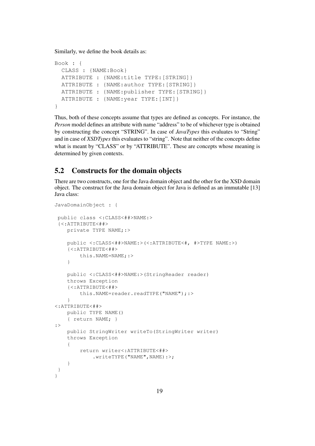Similarly, we define the book details as:

```
Book : {
  CLASS : {NAME:Book}
  ATTRIBUTE : {NAME:title TYPE:[STRING]}
  ATTRIBUTE : {NAME:author TYPE:[STRING]}
  ATTRIBUTE : {NAME:publisher TYPE:[STRING]}
  ATTRIBUTE : {NAME:year TYPE:[INT]}
}
```
Thus, both of these concepts assume that types are defined as concepts. For instance, the *Person* model defines an attribute with name "address" to be of whichever type is obtained by constructing the concept "STRING". In case of *JavaTypes* this evaluates to "String" and in case of *XSDTypes* this evaluates to "string". Note that neither of the concepts define what is meant by "CLASS" or by "ATTRIBUTE". These are concepts whose meaning is determined by given contexts.

#### 5.2 Constructs for the domain objects

There are two constructs, one for the Java domain object and the other for the XSD domain object. The construct for the Java domain object for Java is defined as an immutable [13] Java class:

```
JavaDomainObject : {
public class <:CLASS<##>NAME:>
 {<:ATTRIBUTE<##>
   private TYPE NAME;:>
    public <:CLASS<##>NAME:>(<:ATTRIBUTE<#, #>TYPE NAME:>)
    {<:ATTRIBUTE<##>
       this.NAME=NAME;:>
    }
    public <:CLASS<##>NAME:>(StringReader reader)
    throws Exception
    {<:ATTRIBUTE<##>
        this.NAME=reader.readTYPE("NAME");:>
    }
<:ATTRIBUTE<##>
   public TYPE NAME()
    { return NAME; }
:>
    public StringWriter writeTo(StringWriter writer)
   throws Exception
    {
        return writer<:ATTRIBUTE<##>
            .writeTYPE("NAME",NAME):>;
    }
 }
}
```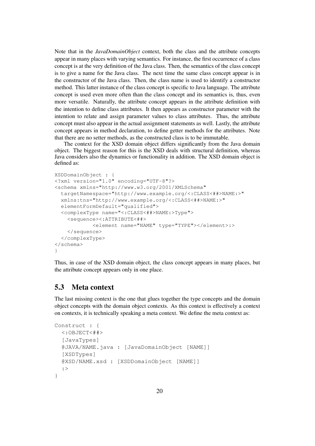Note that in the *JavaDomainObject* context, both the class and the attribute concepts appear in many places with varying semantics. For instance, the first occurrence of a class concept is at the very definition of the Java class. Then, the semantics of the class concept is to give a name for the Java class. The next time the same class concept appear is in the constructor of the Java class. Then, the class name is used to identify a constructor method. This latter instance of the class concept is specific to Java language. The attribute concept is used even more often than the class concept and its semantics is, thus, even more versatile. Naturally, the attribute concept appears in the attribute definition with the intention to define class attributes. It then appears as constructor parameter with the intention to relate and assign parameter values to class attributes. Thus, the attribute concept must also appear in the actual assignment statements as well. Lastly, the attribute concept appears in method declaration, to define getter methods for the attributes. Note that there are no setter methods, as the constructed class is to be immutable.

The context for the XSD domain object differs significantly from the Java domain object. The biggest reason for this is the XSD deals with structural definition, whereas Java considers also the dynamics or functionality in addition. The XSD domain object is defined as:

```
XSDDomainObject : {
<?xml version="1.0" encoding="UTF-8"?>
<schema xmlns="http://www.w3.org/2001/XMLSchema"
  targetNamespace="http://www.example.org/<:CLASS<##>NAME:>"
 xmlns:tns="http://www.example.org/<:CLASS<##>NAME:>"
  elementFormDefault="qualified">
  <complexType name="<:CLASS<##>NAME:>Type">
    <sequence><:ATTRIBUTE<##>
            <element name="NAME" type="TYPE"></element>:>
    </sequence>
  </complexType>
</schema>
}
```
Thus, in case of the XSD domain object, the class concept appears in many places, but the attribute concept appears only in one place.

#### 5.3 Meta context

The last missing context is the one that glues together the type concepts and the domain object concepts with the domain object contexts. As this context is effectively a context on contexts, it is technically speaking a meta context. We define the meta context as:

```
Construct : {
  <:OBJECT<##>
  [JavaTypes]
  @JAVA/NAME.java : [JavaDomainObject [NAME]]
  [XSDTypes]
  @XSD/NAME.xsd : [XSDDomainObject [NAME]]
  :>
}
```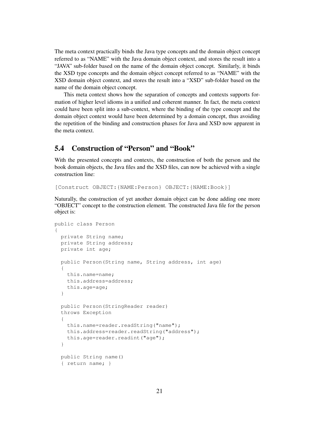The meta context practically binds the Java type concepts and the domain object concept referred to as "NAME" with the Java domain object context, and stores the result into a "JAVA" sub-folder based on the name of the domain object concept. Similarly, it binds the XSD type concepts and the domain object concept referred to as "NAME" with the XSD domain object context, and stores the result into a "XSD" sub-folder based on the name of the domain object concept.

This meta context shows how the separation of concepts and contexts supports formation of higher level idioms in a unified and coherent manner. In fact, the meta context could have been split into a sub-context, where the binding of the type concept and the domain object context would have been determined by a domain concept, thus avoiding the repetition of the binding and construction phases for Java and XSD now apparent in the meta context.

## 5.4 Construction of "Person" and "Book"

With the presented concepts and contexts, the construction of both the person and the book domain objects, the Java files and the XSD files, can now be achieved with a single construction line:

[Construct OBJECT:{NAME:Person} OBJECT:{NAME:Book}]

Naturally, the construction of yet another domain object can be done adding one more "OBJECT" concept to the construction element. The constructed Java file for the person object is:

```
public class Person
{
 private String name;
 private String address;
 private int age;
 public Person(String name, String address, int age)
  {
   this.name=name;
   this.address=address;
   this.age=age;
  }
  public Person(StringReader reader)
 throws Exception
  {
   this.name=reader.readString("name");
   this.address=reader.readString("address");
   this.age=reader.readint("age");
  }
 public String name()
  { return name; }
```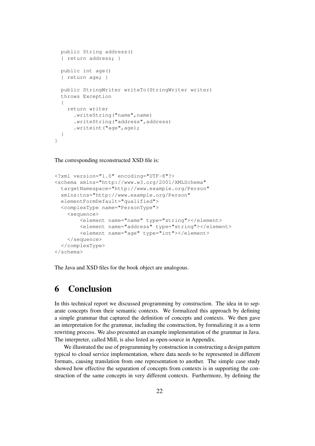```
public String address()
  { return address; }
  public int age()
  { return age; }
 public StringWriter writeTo(StringWriter writer)
 throws Exception
  {
   return writer
      .writeString("name", name)
      .writeString("address",address)
      .writeint("age",age);
  }
}
```
The corresponding reconstructed XSD file is:

```
<?xml version="1.0" encoding="UTF-8"?>
<schema xmlns="http://www.w3.org/2001/XMLSchema"
 targetNamespace="http://www.example.org/Person"
 xmlns:tns="http://www.example.org/Person"
  elementFormDefault="qualified">
  <complexType name="PersonType">
    <sequence>
        <element name="name" type="string"></element>
        <element name="address" type="string"></element>
        <element name="age" type="int"></element>
    </sequence>
  </complexType>
</schema>
```
The Java and XSD files for the book object are analogous.

## 6 Conclusion

In this technical report we discussed programming by construction. The idea in to separate concepts from their semantic contexts. We formalized this approach by defining a simple grammar that captured the definition of concepts and contexts. We then gave an interpretation for the grammar, including the construction, by formalizing it as a term rewriting process. We also presented an example implementation of the grammar in Java. The interpreter, called Mill, is also listed as open-source in Appendix.

We illustrated the use of programming by construction in constructing a design pattern typical to cloud service implementation, where data needs to be represented in different formats, causing translation from one representation to another. The simple case study showed how effective the separation of concepts from contexts is in supporting the construction of the same concepts in very different contexts. Furthermore, by defining the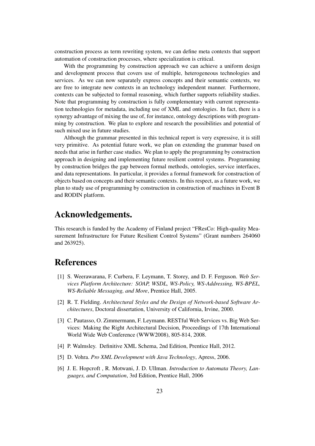construction process as term rewriting system, we can define meta contexts that support automation of construction processes, where specialization is critical.

With the programming by construction approach we can achieve a uniform design and development process that covers use of multiple, heterogeneous technologies and services. As we can now separately express concepts and their semantic contexts, we are free to integrate new contexts in an technology independent manner. Furthermore, contexts can be subjected to formal reasoning, which further supports reliability studies. Note that programming by construction is fully complementary with current representation technologies for metadata, including use of XML and ontologies. In fact, there is a synergy advantage of mixing the use of, for instance, ontology descriptions with programming by construction. We plan to explore and research the possibilities and potential of such mixed use in future studies.

Although the grammar presented in this technical report is very expressive, it is still very primitive. As potential future work, we plan on extending the grammar based on needs that arise in further case studies. We plan to apply the programming by construction approach in designing and implementing future resilient control systems. Programming by construction bridges the gap between formal methods, ontologies, service interfaces, and data representations. In particular, it provides a formal framework for construction of objects based on concepts and their semantic contexts. In this respect, as a future work, we plan to study use of programming by construction in construction of machines in Event B and RODIN platform.

## Acknowledgements.

This research is funded by the Academy of Finland project "FResCo: High-quality Measurement Infrastructure for Future Resilient Control Systems" (Grant numbers 264060 and 263925).

## References

- [1] S. Weerawarana, F. Curbera, F. Leymann, T. Storey, and D. F. Ferguson. *Web Services Platform Architecture: SOAP, WSDL, WS-Policy, WS-Addressing, WS-BPEL, WS-Reliable Messaging, and More*, Prentice Hall, 2005.
- [2] R. T. Fielding. *Architectural Styles and the Design of Network-based Software Architectures*, Doctoral dissertation, University of California, Irvine, 2000.
- [3] C. Pautasso, O. Zimmermann, F. Leymann. RESTful Web Services vs. Big Web Services: Making the Right Architectural Decision, Proceedings of 17th International World Wide Web Conference (WWW2008), 805-814, 2008.
- [4] P. Walmsley. Definitive XML Schema, 2nd Edition, Prentice Hall, 2012.
- [5] D. Vohra. *Pro XML Development with Java Technology*, Apress, 2006.
- [6] J. E. Hopcroft , R. Motwani, J. D. Ullman. *Introduction to Automata Theory, Languages, and Computation*, 3rd Edition, Prentice Hall, 2006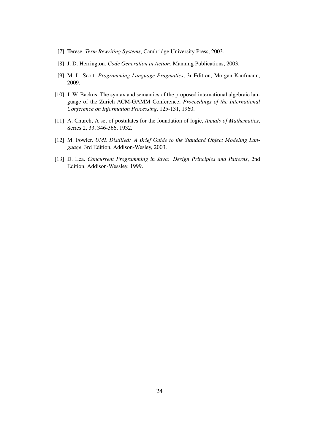- [7] Terese. *Term Rewriting Systems*, Cambridge University Press, 2003.
- [8] J. D. Herrington. *Code Generation in Action*, Manning Publications, 2003.
- [9] M. L. Scott. *Programming Language Pragmatics*, 3r Edition, Morgan Kaufmann, 2009.
- [10] J. W. Backus. The syntax and semantics of the proposed international algebraic language of the Zurich ACM-GAMM Conference, *Proceedings of the International Conference on Information Processing*, 125-131, 1960.
- [11] A. Church, A set of postulates for the foundation of logic, *Annals of Mathematics*, Series 2, 33, 346-366, 1932.
- [12] M. Fowler. *UML Distilled: A Brief Guide to the Standard Object Modeling Language*, 3rd Edition, Addison-Wesley, 2003.
- [13] D. Lea. *Concurrent Programming in Java: Design Principles and Patterns*, 2nd Edition, Addison-Wessley, 1999.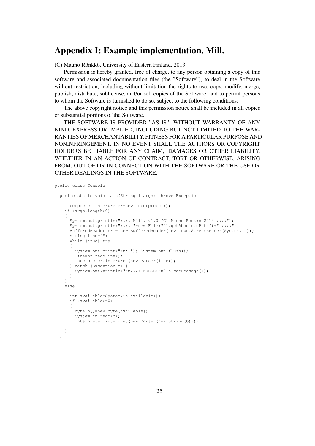## Appendix I: Example implementation, Mill.

(C) Mauno Rönkkö, University of Eastern Finland, 2013

Permission is hereby granted, free of charge, to any person obtaining a copy of this software and associated documentation files (the "Software"), to deal in the Software without restriction, including without limitation the rights to use, copy, modify, merge, publish, distribute, sublicense, and/or sell copies of the Software, and to permit persons to whom the Software is furnished to do so, subject to the following conditions:

The above copyright notice and this permission notice shall be included in all copies or substantial portions of the Software.

THE SOFTWARE IS PROVIDED "AS IS", WITHOUT WARRANTY OF ANY KIND, EXPRESS OR IMPLIED, INCLUDING BUT NOT LIMITED TO THE WAR-RANTIES OF MERCHANTABILITY, FITNESS FOR A PARTICULAR PURPOSE AND NONINFRINGEMENT. IN NO EVENT SHALL THE AUTHORS OR COPYRIGHT HOLDERS BE LIABLE FOR ANY CLAIM, DAMAGES OR OTHER LIABILITY, WHETHER IN AN ACTION OF CONTRACT, TORT OR OTHERWISE, ARISING FROM, OUT OF OR IN CONNECTION WITH THE SOFTWARE OR THE USE OR OTHER DEALINGS IN THE SOFTWARE.

```
public class Console
{
 public static void main(String[] args) throws Exception
  {
    Interpreter interpreter=new Interpreter();
    if (args.length>0)
    {
     System.out.println("**** Mill, v1.0 (C) Mauno Ronkko 2013 ****");
      System.out.println("**** "+new File("").getAbsolutePath()+" ****");
     BufferedReader br = new BufferedReader(new InputStreamReader(System.in));
     String line="";
     while (true) try
      {
       System.out.print("\n: "); System.out.flush();
       line=br.readLine();
       interpreter.interpret(new Parser(line));
      } catch (Exception e) {
       System.out.println("\n**** ERROR:\n"+e.getMessage());
     }
    }
   else
    {
     int available=System.in.available();
     if (available>=0)
      {
       byte b[]=new byte[available];
       System.in.read(b);
       interpreter.interpret(new Parser(new String(b)));
     }
   }
 }
}
```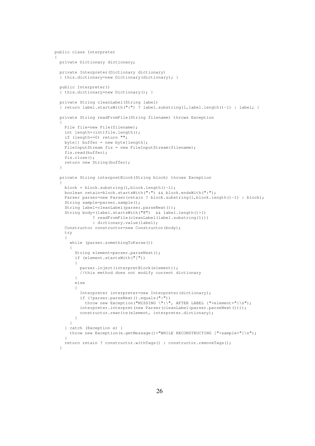```
public class Interpreter
{
  private Dictionary dictionary;
  private Interpreter(Dictionary dictionary)
  { this.dictionary=new Dictionary(dictionary); }
  public Interpreter()
  { this.dictionary=new Dictionary(); }
  private String cleanLabel(String label)
  { return label.startsWith("{") ? label.substring(1,label.length()-1) : label; }
  private String readFromFile(String filename) throws Exception
  {
   File file=new File(filename);
    int length=(int)file.length();
    if (length==0) return "";
    byte[] buffer = new byte[length];
    FileInputStream fis = new FileInputStream(filename);
    fis.read(buffer);
    fis.close();
    return new String(buffer);
  }
  private String interpretBlock(String block) throws Exception
  {
    block = block.substring(1,block.length()-1);
    boolean retain=block.startsWith(":") && block.endsWith(":");
    Parser parser=new Parser(retain ? block.substring(1,block.length()-1) : block);
    String sample=parser.sample();
    String label=cleanLabel(parser.parseNext());
    String body=(label.startsWith("@") && label.length()>1)
               ? readFromFile(cleanLabel(label.substring(1)))
               : dictionary.value(label);
    Constructor constructor=new Constructor(body);
    try
    {
      while (parser.somethingToParse())
      {
        String element=parser.parseNext();
        if (element.startsWith("["))
        {
         parser.inject(interpretBlock(element));
          //this method does not modify current dictionary
        }
        else
        {
          Interpreter interpreter=new Interpreter(dictionary);
          if (!parser.parseNext().equals(":"))
            throw new Exception("MISSING \":\", AFTER LABEL {"+element+"}\n");
          interpreter.interpret(new Parser(cleanLabel(parser.parseNext())));
         constructor.rewrite(element, interpreter.dictionary);
        }
      }
    } catch (Exception e) {
      throw new Exception(e.getMessage()+"WHILE RECONSTRUCTING ["+sample+"]\n");
    \lambdareturn retain ? constructor.withTags() : constructor.removeTags();
  }
```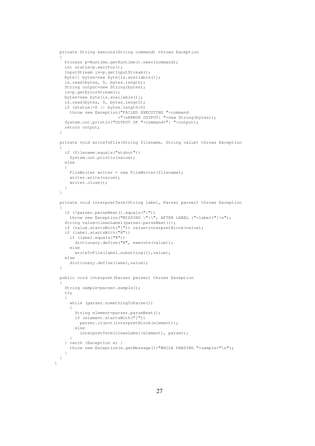```
private String execute(String command) throws Exception
{
  Process p=Runtime.getRuntime().exec(command);
  int status=p.waitFor();
  InputStream is=p.getInputStream();
  byte[] bytes=new byte[is.available()];
  is.read(bytes, 0, bytes.length);
  String output=new String(bytes);
  is=p.getErrorStream();
  bytes=new byte[is.available()];
  is.read(bytes, 0, bytes.length);
  if (status!=0 || bytes.length>0)
    throw new Exception("FAILED EXECUTING "+command
                       +"\nERROR OUTPUT: "+new String(bytes));
  System.out.println("OUTPUT OF "+command+": "+output);
  return output;
}
private void writeToFile(String filename, String value) throws Exception
{
  if (filename.equals("stdout"))
    System.out.println(value);
  else
  {
    FileWriter writer = new FileWriter(filename);
   writer.write(value);
    writer.close();
  }
}
private void interpretTerm(String label, Parser parser) throws Exception
{
  if (!parser.parseNext().equals(":"))
   throw new Exception("MISSING \":\", AFTER LABEL {"+label+"}\n");
  String value=cleanLabel(parser.parseNext());
  if (value.startsWith("[")) value=interpretBlock(value);
  if (label.startsWith("@"))
    if (label.equals("@"))
     dictionary.define("@", execute(value));
    else
     writeToFile(label.substring(1), value);
  else
    dictionary.define(label,value);
}
public void interpret(Parser parser) throws Exception
{
  String sample=parser.sample();
  try
  {
    while (parser.somethingToParse())
    {
      String element=parser.parseNext();
      if (element.startsWith("["))
       parser.inject(interpretBlock(element));
      else
       interpretTerm(cleanLabel(element), parser);
    \lambda} catch (Exception e) {
    throw new Exception(e.getMessage()+"WHILE PARSING "+sample+"\n");
  }
}
```
}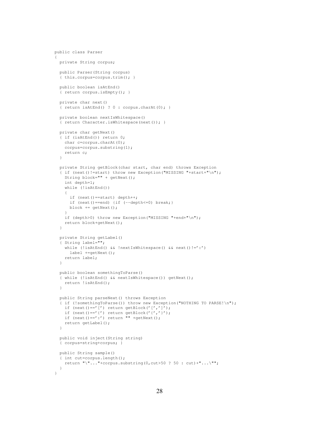```
public class Parser
{
  private String corpus;
  public Parser(String corpus)
  { this.corpus=corpus.trim(); }
  public boolean isAtEnd()
  { return corpus.isEmpty(); }
  private char next()
  { return isAtEnd() ? 0 : corpus.charAt(0); }
  private boolean nextIsWhitespace()
  { return Character.isWhitespace(next()); }
  private char getNext()
  { if (isAtEnd()) return 0;
    char c=corpus.charAt(0);
    corpus=corpus.substring(1);
   return c;
  }
  private String getBlock(char start, char end) throws Exception
  { if (next()!=start) throw new Exception("MISSING "+start+"\n");
    String block="" + getNext();
    int depth=1;
    while (!isAtEnd())
    {
      if (next()==start) depth++;
      if (next()==end) {if (--\text{depth}<=0) break; }
     block += getNext();
    }
    if (depth>0) throw new Exception("MISSING "+end+"\n");
    return block+getNext();
  }
  private String getLabel()
  { String label="";
    while (!isAtEnd() && !nextIsWhitespace() && next() !=':')
     label +=getNext();
    return label;
  }
  public boolean somethingToParse()
  { while (!isAtEnd() && nextIsWhitespace()) getNext();
   return !isAtEnd();
  }
  public String parseNext() throws Exception
  { if (!somethingToParse()) throw new Exception("NOTHING TO PARSE!\n");
    if (\text{next}) == '[') return getBlock('[','']');
    if (new() == '(') return getBlock('{'', '')'};if (next() == ' :') return "" +getNext();
    return getLabel();
  }
  public void inject(String string)
  { corpus=string+corpus; }
  public String sample()
  { int cut=corpus.length();
    return "\"\ldots"+corpus.substring(0,cut>50 ? 50 : cut)+"...\"";
  }
}
```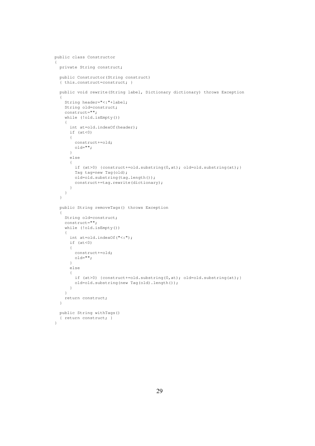```
public class Constructor
{
 private String construct;
 public Constructor(String construct)
  { this.construct=construct; }
  public void rewrite(String label, Dictionary dictionary) throws Exception
  {
    String header="<:"+label;
    String old=construct;
   construct="";
    while (!old.isEmpty())
    {
     int at=old.indexOf(header);
     if (at<0){
       construct+=old;
       old="";
      }
      else
      {
        if (at>0) {construct+=old.substring(0,at); old=old.substring(at);}
        Tag tag=new Tag(old);
       old=old.substring(tag.length());
       construct+=tag.rewrite(dictionary);
     }
   }
  }
  public String removeTags() throws Exception
  {
    String old=construct;
    construct="";
    while (!old.isEmpty())
    {
     int at=old.indexOf("<:");
     if (at<0){
       construct+=old;
       old="}
      else
      {
        if (at>0) {construct+=old.substring(0,at); old=old.substring(at);}
       old=old.substring(new Tag(old).length());
      }
    }
    return construct;
  }
  public String withTags()
  { return construct; }
}
```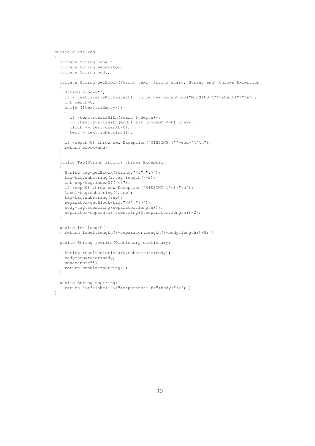```
public class Tag
{
  private String label;
  private String separator;
  private String body;
  private String getBlock(String text, String start, String end) throws Exception
  {
    String block="";
    if (!text.startsWith(start)) throw new Exception("MISSING \""+start+"\"\n");
   int depth=0;
    while (!text.isEmpty())
    {
      if (text.startsWith(start)) depth++;
      if (text.startsWith(end)) {if (-\text{depth}\leq 0) break; }
     block += text.charAt(0);
     text = text.substring(1);
    }
    if (depth>0) throw new Exception("MISSING \""+end+"\"\n");
    return block+end;
  }
  public Tag(String string) throws Exception
  {
    String tag=getBlock(string,"<:",":>");
    tag=tag.substring(2,tag.length()-2);
    int sep=tag.indexOf("<#");
    if (sep<0) throw new Exception("MISSING \"<#\"\n");
   label=tag.substring(0,sep);
   tag=tag.substring(sep);
    separator=getBlock(tag, "<#", "#>");
    body=tag.substring(separator.length());
    separator=separator.substring(2,separator.length()-2);
  }
  public int length()
  { return label.length()+separator.length()+body.length()+8; }
  public String rewrite(Dictionary dictionary)
  {
    String result=dictionary.substitute(body);
    body=separator+body;
    separator="";
    return result+toString();
  }
  public String toString()
  { return "<:"+label+"<#"+separator+"#>"+body+":>"; }
}
```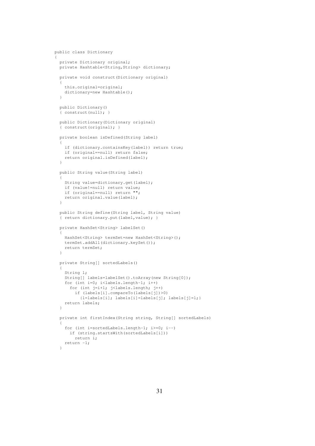```
public class Dictionary
{
  private Dictionary original;
  private Hashtable<String, String> dictionary;
  private void construct(Dictionary original)
  {
    this.original=original;
   dictionary=new Hashtable();
  \lambdapublic Dictionary()
  { construct(null); }
  public Dictionary(Dictionary original)
  { construct(original); }
  private boolean isDefined(String label)
  {
    if (dictionary.containsKey(label)) return true;
    if (original==null) return false;
   return original.isDefined(label);
  }
  public String value(String label)
  {
    String value=dictionary.get(label);
    if (value!=null) return value;
   if (original==null) return "";
   return original.value(label);
  \lambdapublic String define(String label, String value)
  { return dictionary.put(label,value); }
  private HashSet<String> labelSet()
  {
    HashSet<String> termSet=new HashSet<String>();
    termSet.addAll(dictionary.keySet());
    return termSet;
  }
  private String[] sortedLabels()
  {
    String 1:
    String[] labels=labelSet().toArray(new String[0]);
    for (int i=0; i<labels.length-1; i++)
      for (int j=i+1; j<labels.length; j++)
        if (labels[i].compareTo(labels[j])>0)
          {l=labels[i]; labels[i]=labels[j]; labels[j]=l;}
    return labels;
  }
  private int firstIndex(String string, String[] sortedLabels)
  {
    for (int i=sortedLabels.length-1; i>=0; i=-)
     if (string.startsWith(sortedLabels[i]))
       return i;
    return -1;
  }
```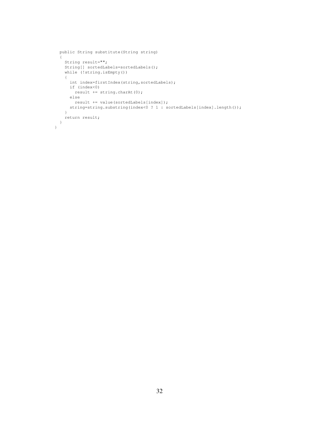```
public String substitute(String string)
  {
   String result="";
   String[] sortedLabels=sortedLabels();
   while (!string.isEmpty())
   {
     int index=firstIndex(string,sortedLabels);
     if (index<0)
       result += string.charAt(0);
     else
      result += value(sortedLabels[index]);
     string=string.substring(index<0 ? 1 : sortedLabels[index].length());
   }
   return result;
 }
}
```